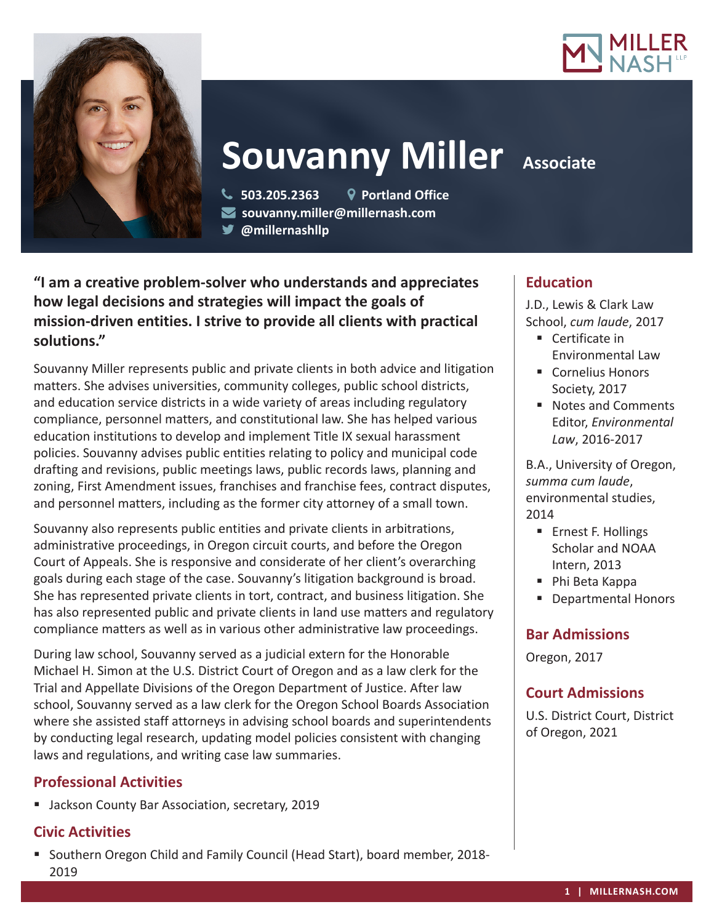



# **Souvanny Miller Associate**

 **503.205.2363 Portland Office souvanny.miller@millernash.com** 

**@millernashllp**

**"I am a creative problem-solver who understands and appreciates how legal decisions and strategies will impact the goals of mission-driven entities. I strive to provide all clients with practical solutions."**

Souvanny Miller represents public and private clients in both advice and litigation matters. She advises universities, community colleges, public school districts, and education service districts in a wide variety of areas including regulatory compliance, personnel matters, and constitutional law. She has helped various education institutions to develop and implement Title IX sexual harassment policies. Souvanny advises public entities relating to policy and municipal code drafting and revisions, public meetings laws, public records laws, planning and zoning, First Amendment issues, franchises and franchise fees, contract disputes, and personnel matters, including as the former city attorney of a small town.

Souvanny also represents public entities and private clients in arbitrations, administrative proceedings, in Oregon circuit courts, and before the Oregon Court of Appeals. She is responsive and considerate of her client's overarching goals during each stage of the case. Souvanny's litigation background is broad. She has represented private clients in tort, contract, and business litigation. She has also represented public and private clients in land use matters and regulatory compliance matters as well as in various other administrative law proceedings.

During law school, Souvanny served as a judicial extern for the Honorable Michael H. Simon at the U.S. District Court of Oregon and as a law clerk for the Trial and Appellate Divisions of the Oregon Department of Justice. After law school, Souvanny served as a law clerk for the Oregon School Boards Association where she assisted staff attorneys in advising school boards and superintendents by conducting legal research, updating model policies consistent with changing laws and regulations, and writing case law summaries.

# **Professional Activities**

**Jackson County Bar Association, secretary, 2019** 

# **Civic Activities**

 Southern Oregon Child and Family Council (Head Start), board member, 2018- 2019

# **Education**

J.D., Lewis & Clark Law School, *cum laude*, 2017

- Certificate in Environmental Law
- Cornelius Honors Society, 2017
- Notes and Comments Editor, *Environmental Law*, 2016-2017

B.A., University of Oregon, *summa cum laude*, environmental studies, 2014

- **Ernest F. Hollings** Scholar and NOAA Intern, 2013
- Phi Beta Kappa
- **Departmental Honors**

# **Bar Admissions**

Oregon, 2017

# **Court Admissions**

U.S. District Court, District of Oregon, 2021